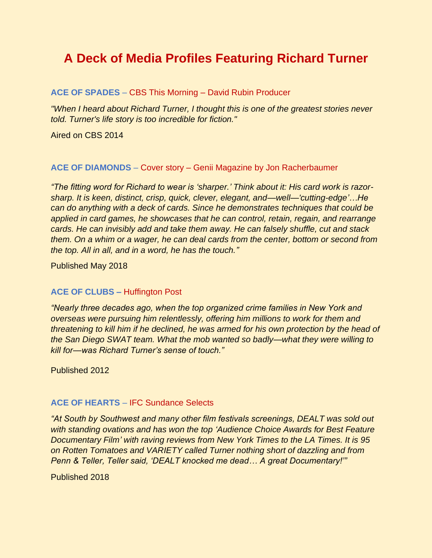# **A Deck of Media Profiles Featuring Richard Turner**

# **ACE OF SPADES** – CBS This Morning – David Rubin Producer

*"When I heard about Richard Turner, I thought this is one of the greatest stories never told. Turner's life story is too incredible for fiction."*

Aired on CBS 2014

## **ACE OF DIAMONDS** – Cover story – Genii Magazine by Jon Racherbaumer

*"The fitting word for Richard to wear is 'sharper.' Think about it: His card work is razorsharp. It is keen, distinct, crisp, quick, clever, elegant, and—well—'cutting-edge'…He can do anything with a deck of cards. Since he demonstrates techniques that could be applied in card games, he showcases that he can control, retain, regain, and rearrange cards. He can invisibly add and take them away. He can falsely shuffle, cut and stack them. On a whim or a wager, he can deal cards from the center, bottom or second from the top. All in all, and in a word, he has the touch."*

Published May 2018

## **ACE OF CLUBS –** Huffington Post

*"Nearly three decades ago, when the top organized crime families in New York and overseas were pursuing him relentlessly, offering him millions to work for them and threatening to kill him if he declined, he was armed for his own protection by the head of the San Diego SWAT team. What the mob wanted so badly—what they were willing to kill for—was Richard Turner's sense of touch."* 

Published 2012

## **ACE OF HEARTS** – IFC Sundance Selects

*"At South by Southwest and many other film festivals screenings, DEALT was sold out with standing ovations and has won the top 'Audience Choice Awards for Best Feature Documentary Film' with raving reviews from New York Times to the LA Times. It is 95 on Rotten Tomatoes and VARIETY called Turner nothing short of dazzling and from Penn & Teller, Teller said, 'DEALT knocked me dead… A great Documentary!'"*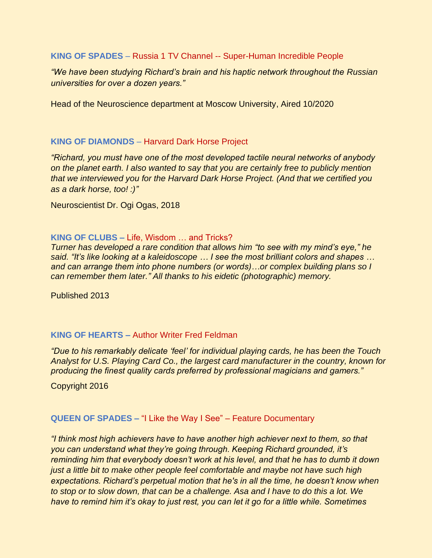**KING OF SPADES** – Russia 1 TV Channel -- Super-Human Incredible People

*"We have been studying Richard's brain and his haptic network throughout the Russian universities for over a dozen years."*

Head of the Neuroscience department at Moscow University, Aired 10/2020

## **KING OF DIAMONDS** – Harvard Dark Horse Project

*"Richard, you must have one of the most developed tactile neural networks of anybody on the planet earth. I also wanted to say that you are certainly free to publicly mention that we interviewed you for the Harvard Dark Horse Project. (And that we certified you as a dark horse, too! :)"*

Neuroscientist Dr. Ogi Ogas, 2018

## **KING OF CLUBS –** Life, Wisdom … and Tricks?

*Turner has developed a rare condition that allows him "to see with my mind's eye," he said. "It's like looking at a kaleidoscope … I see the most brilliant colors and shapes … and can arrange them into phone numbers (or words)…or complex building plans so I can remember them later." All thanks to his eidetic (photographic) memory.*

Published 2013

## **KING OF HEARTS –** Author Writer Fred Feldman

*"Due to his remarkably delicate 'feel' for individual playing cards, he has been the Touch Analyst for U.S. Playing Card Co., the largest card manufacturer in the country, known for producing the finest quality cards preferred by professional magicians and gamers."*

Copyright 2016

## **QUEEN OF SPADES –** "I Like the Way I See" – Feature Documentary

*"I think most high achievers have to have another high achiever next to them, so that you can understand what they're going through. Keeping Richard grounded, it's reminding him that everybody doesn't work at his level, and that he has to dumb it down just a little bit to make other people feel comfortable and maybe not have such high expectations. Richard's perpetual motion that he's in all the time, he doesn't know when to stop or to slow down, that can be a challenge. Asa and I have to do this a lot. We have to remind him it's okay to just rest, you can let it go for a little while. Sometimes*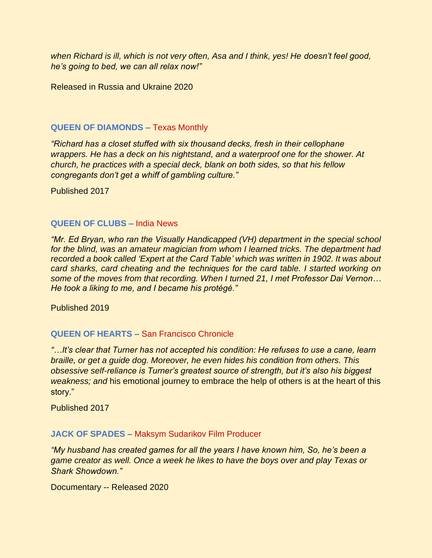*when Richard is ill, which is not very often, Asa and I think, yes! He doesn't feel good, he's going to bed, we can all relax now!"*

Released in Russia and Ukraine 2020

# **QUEEN OF DIAMONDS –** Texas Monthly

*"Richard has a closet stuffed with six thousand decks, fresh in their cellophane wrappers. He has a deck on his nightstand, and a waterproof one for the shower. At church, he practices with a special deck, blank on both sides, so that his fellow congregants don't get a whiff of gambling culture."* 

Published 2017

# **QUEEN OF CLUBS –** India News

*"Mr. Ed Bryan, who ran the Visually Handicapped (VH) department in the special school for the blind, was an amateur magician from whom I learned tricks. The department had recorded a book called 'Expert at the Card Table' which was written in 1902. It was about card sharks, card cheating and the techniques for the card table. I started working on some of the moves from that recording. When I turned 21, I met Professor Dai Vernon… He took a liking to me, and I became his protégé."* 

Published 2019

# **QUEEN OF HEARTS –** San Francisco Chronicle

*"…It's clear that Turner has not accepted his condition: He refuses to use a cane, learn braille, or get a guide dog. Moreover, he even hides his condition from others. This obsessive self-reliance is Turner's greatest source of strength, but it's also his biggest weakness; and* his emotional journey to embrace the help of others is at the heart of this story."

Published 2017

# **JACK OF SPADES –** Maksym Sudarikov Film Producer

*"My husband has created games for all the years I have known him, So, he's been a game creator as well. Once a week he likes to have the boys over and play Texas or Shark Showdown."* 

Documentary -- Released 2020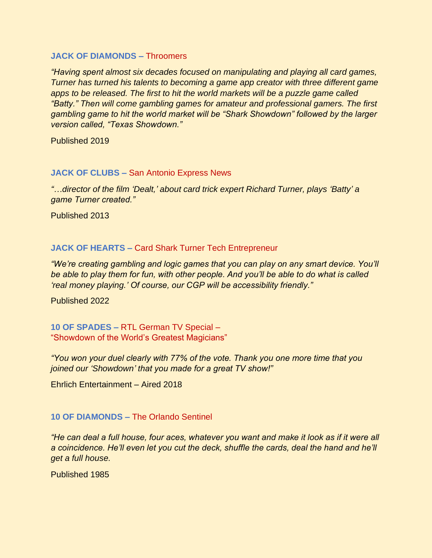## **JACK OF DIAMONDS –** Throomers

*"Having spent almost six decades focused on manipulating and playing all card games, Turner has turned his talents to becoming a game app creator with three different game*  apps to be released. The first to hit the world markets will be a puzzle game called *"Batty." Then will come gambling games for amateur and professional gamers. The first gambling game to hit the world market will be "Shark Showdown" followed by the larger version called, "Texas Showdown."* 

Published 2019

## **JACK OF CLUBS –** San Antonio Express News

*"…director of the film 'Dealt,' about card trick expert Richard Turner, plays 'Batty' a game Turner created."* 

Published 2013

# **JACK OF HEARTS –** Card Shark Turner Tech Entrepreneur

*"We're creating gambling and logic games that you can play on any smart device. You'll be able to play them for fun, with other people. And you'll be able to do what is called 'real money playing.' Of course, our CGP will be accessibility friendly."*

Published 2022

**10 OF SPADES –** RTL German TV Special – "Showdown of the World's Greatest Magicians"

*"You won your duel clearly with 77% of the vote. Thank you one more time that you joined our 'Showdown' that you made for a great TV show!"* 

Ehrlich Entertainment – Aired 2018

## **10 OF DIAMONDS –** The Orlando Sentinel

*"He can deal a full house, four aces, whatever you want and make it look as if it were all a coincidence. He'll even let you cut the deck, shuffle the cards, deal the hand and he'll get a full house.*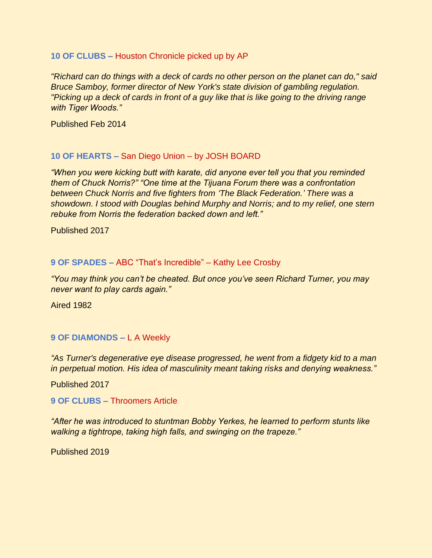# **10 OF CLUBS –** Houston Chronicle picked up by AP

*"Richard can do things with a deck of cards no other person on the planet can do," said Bruce Samboy, former director of New York's state division of gambling regulation. "Picking up a deck of cards in front of a guy like that is like going to the driving range with Tiger Woods."*

Published Feb 2014

# **10 OF HEARTS –** San Diego Union – by JOSH BOARD

*"When you were kicking butt with karate, did anyone ever tell you that you reminded them of Chuck Norris?" "One time at the Tijuana Forum there was a confrontation between Chuck Norris and five fighters from 'The Black Federation.' There was a showdown. I stood with Douglas behind Murphy and Norris; and to my relief, one stern rebuke from Norris the federation backed down and left."* 

Published 2017

## **9 OF SPADES –** ABC "That's Incredible" – Kathy Lee Crosby

*"You may think you can't be cheated. But once you've seen Richard Turner, you may never want to play cards again."*

Aired 1982

# **9 OF DIAMONDS –** L A Weekly

*"As Turner's degenerative eye disease progressed, he went from a fidgety kid to a man in perpetual motion. His idea of masculinity meant taking risks and denying weakness."* 

Published 2017

**9 OF CLUBS –** Throomers Article

*"After he was introduced to stuntman Bobby Yerkes, he learned to perform stunts like walking a tightrope, taking high falls, and swinging on the trapeze."*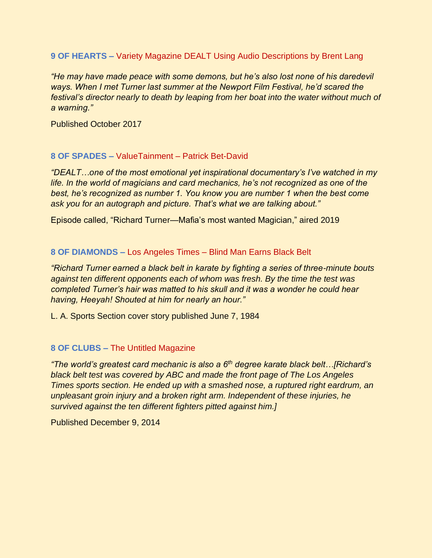**9 OF HEARTS –** Variety Magazine DEALT Using Audio Descriptions by Brent Lang

*"He may have made peace with some demons, but he's also lost none of his daredevil ways. When I met Turner last summer at the Newport Film Festival, he'd scared the festival's director nearly to death by leaping from her boat into the water without much of a warning."*

Published October 2017

# **8 OF SPADES –** ValueTainment – Patrick Bet-David

*"DEALT…one of the most emotional yet inspirational documentary's I've watched in my life. In the world of magicians and card mechanics, he's not recognized as one of the best, he's recognized as number 1. You know you are number 1 when the best come ask you for an autograph and picture. That's what we are talking about."*

Episode called, "Richard Turner—Mafia's most wanted Magician," aired 2019

# **8 OF DIAMONDS –** Los Angeles Times – Blind Man Earns Black Belt

*"Richard Turner earned a black belt in karate by fighting a series of three-minute bouts against ten different opponents each of whom was fresh. By the time the test was completed Turner's hair was matted to his skull and it was a wonder he could hear having, Heeyah! Shouted at him for nearly an hour."*

L. A. Sports Section cover story published June 7, 1984

# **8 OF CLUBS –** The Untitled Magazine

*"The world's greatest card mechanic is also a 6th degree karate black belt…[Richard's black belt test was covered by ABC and made the front page of The Los Angeles Times sports section. He ended up with a smashed nose, a ruptured right eardrum, an unpleasant groin injury and a broken right arm. Independent of these injuries, he survived against the ten different fighters pitted against him.]*

Published December 9, 2014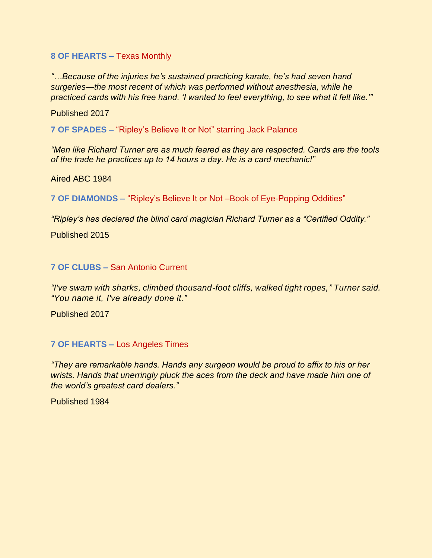# **8 OF HEARTS –** Texas Monthly

*"…Because of the injuries he's sustained practicing karate, he's had seven hand surgeries—the most recent of which was performed without anesthesia, while he practiced cards with his free hand. 'I wanted to feel everything, to see what it felt like.'"* 

Published 2017

**7 OF SPADES –** "Ripley's Believe It or Not" starring Jack Palance

*"Men like Richard Turner are as much feared as they are respected. Cards are the tools of the trade he practices up to 14 hours a day. He is a card mechanic!"* 

Aired ABC 1984

**7 OF DIAMONDS –** "Ripley's Believe It or Not –Book of Eye-Popping Oddities"

*"Ripley's has declared the blind card magician Richard Turner as a "Certified Oddity."* 

Published 2015

# **7 OF CLUBS –** San Antonio Current

*"I've swam with sharks, climbed thousand-foot cliffs, walked tight ropes," Turner said. "You name it, I've already done it."*

Published 2017

**7 OF HEARTS –** Los Angeles Times

*"They are remarkable hands. Hands any surgeon would be proud to affix to his or her wrists. Hands that unerringly pluck the aces from the deck and have made him one of the world's greatest card dealers."*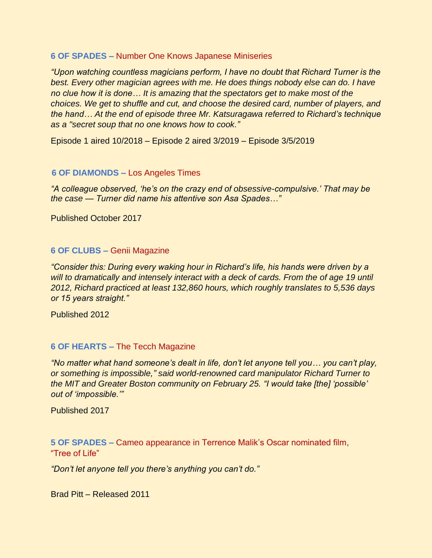## **6 OF SPADES –** Number One Knows Japanese Miniseries

*"Upon watching countless magicians perform, I have no doubt that Richard Turner is the best. Every other magician agrees with me. He does things nobody else can do. I have no clue how it is done… It is amazing that the spectators get to make most of the choices. We get to shuffle and cut, and choose the desired card, number of players, and the hand… At the end of episode three Mr. Katsuragawa referred to Richard's technique as a "secret soup that no one knows how to cook."*

Episode 1 aired 10/2018 – Episode 2 aired 3/2019 – Episode 3/5/2019

## **6 OF DIAMONDS –** Los Angeles Times

*"A colleague observed, 'he's on the crazy end of obsessive-compulsive.' That may be the case — Turner did name his attentive son Asa Spades…"*

Published October 2017

## **6 OF CLUBS –** Genii Magazine

*"Consider this: During every waking hour in Richard's life, his hands were driven by a will to dramatically and intensely interact with a deck of cards. From the of age 19 until 2012, Richard practiced at least 132,860 hours, which roughly translates to 5,536 days or 15 years straight."* 

Published 2012

## **6 OF HEARTS –** The Tecch Magazine

*"No matter what hand someone's dealt in life, don't let anyone tell you… you can't play, or something is impossible," said world-renowned card manipulator Richard Turner to the MIT and Greater Boston community on February 25. "I would take [the] 'possible' out of 'impossible.'"*

Published 2017

**5 OF SPADES –** Cameo appearance in Terrence Malik's Oscar nominated film, "Tree of Life"

*"Don't let anyone tell you there's anything you can't do."*

Brad Pitt – Released 2011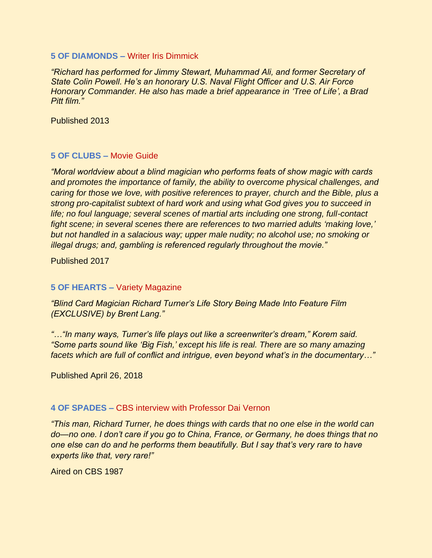#### **5 OF DIAMONDS –** Writer Iris Dimmick

*"Richard has performed for Jimmy Stewart, Muhammad Ali, and former Secretary of State Colin Powell. He's an honorary U.S. Naval Flight Officer and U.S. Air Force Honorary Commander. He also has made a brief appearance in 'Tree of Life', a Brad Pitt film."*

Published 2013

# **5 OF CLUBS –** Movie Guide

*"Moral worldview about a blind magician who performs feats of show magic with cards and promotes the importance of family, the ability to overcome physical challenges, and caring for those we love, with positive references to prayer, church and the Bible, plus a strong pro-capitalist subtext of hard work and using what God gives you to succeed in life; no foul language; several scenes of martial arts including one strong, full-contact fight scene; in several scenes there are references to two married adults 'making love,' but not handled in a salacious way; upper male nudity; no alcohol use; no smoking or illegal drugs; and, gambling is referenced regularly throughout the movie."*

Published 2017

# **5 OF HEARTS –** Variety Magazine

*"Blind Card Magician Richard Turner's Life Story Being Made Into Feature Film (EXCLUSIVE) by Brent Lang."*

*"…"In many ways, Turner's life plays out like a screenwriter's dream," Korem said. "Some parts sound like 'Big Fish,' except his life is real. There are so many amazing facets which are full of conflict and intrigue, even beyond what's in the documentary…"* 

Published April 26, 2018

# **4 OF SPADES –** CBS interview with Professor Dai Vernon

*"This man, Richard Turner, he does things with cards that no one else in the world can do—no one. I don't care if you go to China, France, or Germany, he does things that no one else can do and he performs them beautifully. But I say that's very rare to have experts like that, very rare!"*

Aired on CBS 1987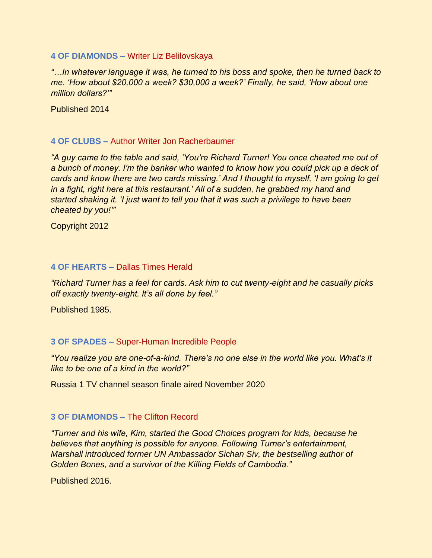#### **4 OF DIAMONDS –** Writer Liz Belilovskaya

*"…In whatever language it was, he turned to his boss and spoke, then he turned back to me. 'How about \$20,000 a week? \$30,000 a week?' Finally, he said, 'How about one million dollars?'"*

Published 2014

# **4 OF CLUBS –** Author Writer Jon Racherbaumer

*"A guy came to the table and said, 'You're Richard Turner! You once cheated me out of a bunch of money. I'm the banker who wanted to know how you could pick up a deck of cards and know there are two cards missing.' And I thought to myself, 'I am going to get in a fight, right here at this restaurant.' All of a sudden, he grabbed my hand and started shaking it. 'I just want to tell you that it was such a privilege to have been cheated by you!'"*

Copyright 2012

## **4 OF HEARTS –** Dallas Times Herald

*"Richard Turner has a feel for cards. Ask him to cut twenty-eight and he casually picks off exactly twenty-eight. It's all done by feel."*

Published 1985.

# **3 OF SPADES –** Super-Human Incredible People

*"You realize you are one-of-a-kind. There's no one else in the world like you. What's it like to be one of a kind in the world?"*

Russia 1 TV channel season finale aired November 2020

## **3 OF DIAMONDS –** The Clifton Record

*"Turner and his wife, Kim, started the Good Choices program for kids, because he believes that anything is possible for anyone. Following Turner's entertainment, Marshall introduced former UN Ambassador Sichan Siv, the bestselling author of Golden Bones, and a survivor of the Killing Fields of Cambodia."* 

Published 2016.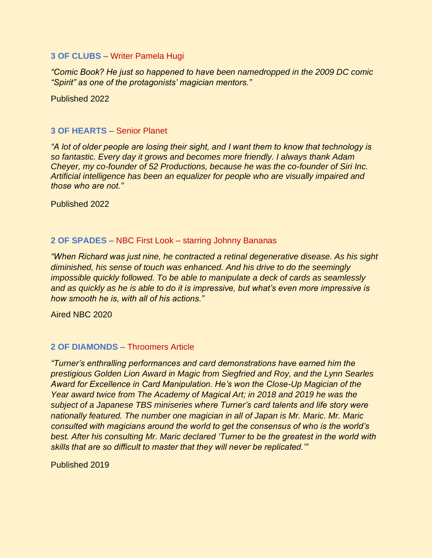## **3 OF CLUBS –** Writer Pamela Hugi

*"Comic Book? He just so happened to have been namedropped in the 2009 DC comic "Spirit" as one of the protagonists' magician mentors."* 

Published 2022

# **3 OF HEARTS –** Senior Planet

*"A lot of older people are losing their sight, and I want them to know that technology is so fantastic. Every day it grows and becomes more friendly. I always thank Adam Cheyer, my co-founder of 52 Productions, because he was the co-founder of Siri Inc. Artificial intelligence has been an equalizer for people who are visually impaired and those who are not."*

Published 2022

# **2 OF SPADES –** NBC First Look – starring Johnny Bananas

*"When Richard was just nine, he contracted a retinal degenerative disease. As his sight diminished, his sense of touch was enhanced. And his drive to do the seemingly impossible quickly followed. To be able to manipulate a deck of cards as seamlessly and as quickly as he is able to do it is impressive, but what's even more impressive is how smooth he is, with all of his actions."*

Aired NBC 2020

## **2 OF DIAMONDS –** Throomers Article

*"Turner's enthralling performances and card demonstrations have earned him the prestigious Golden Lion Award in Magic from Siegfried and Roy, and the Lynn Searles Award for Excellence in Card Manipulation. He's won the Close-Up Magician of the Year award twice from The Academy of Magical Art; in 2018 and 2019 he was the subject of a Japanese TBS miniseries where Turner's card talents and life story were nationally featured. The number one magician in all of Japan is Mr. Maric. Mr. Maric consulted with magicians around the world to get the consensus of who is the world's best. After his consulting Mr. Maric declared 'Turner to be the greatest in the world with skills that are so difficult to master that they will never be replicated.'"*